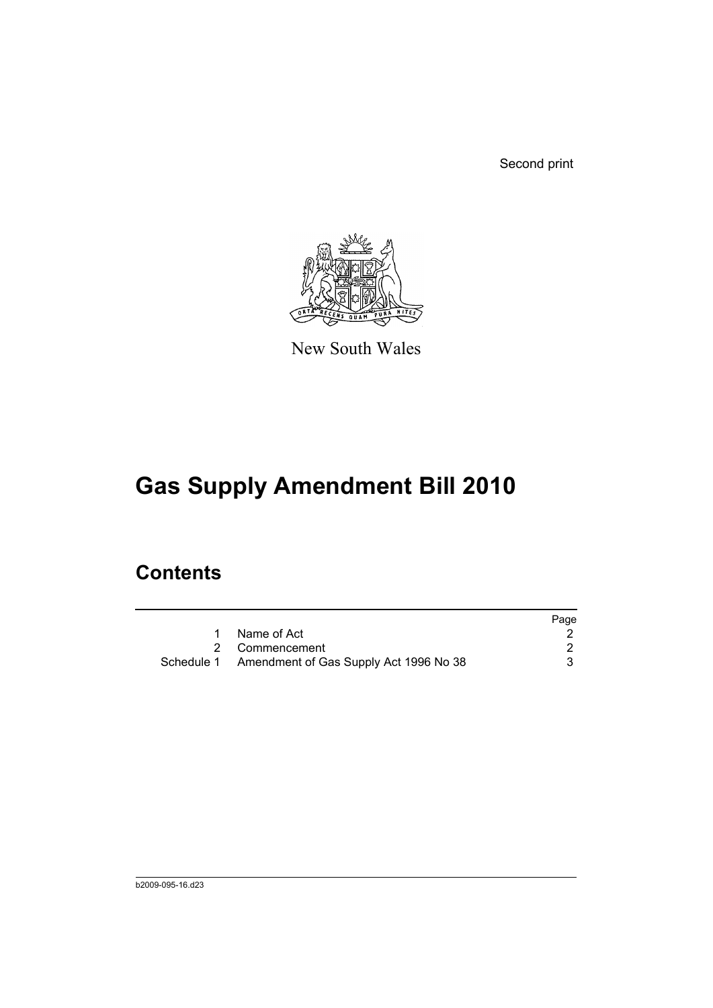Second print



New South Wales

# **Gas Supply Amendment Bill 2010**

### **Contents**

|                                                   | Page |
|---------------------------------------------------|------|
| Name of Act                                       |      |
| 2 Commencement                                    |      |
| Schedule 1 Amendment of Gas Supply Act 1996 No 38 |      |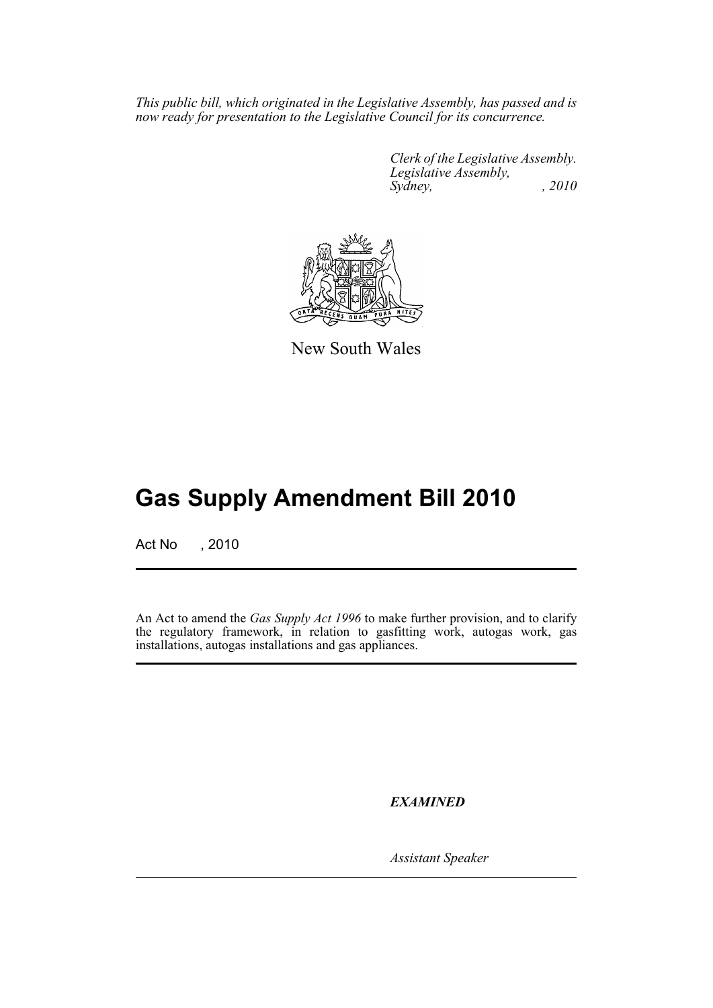*This public bill, which originated in the Legislative Assembly, has passed and is now ready for presentation to the Legislative Council for its concurrence.*

> *Clerk of the Legislative Assembly. Legislative Assembly, Sydney,* , 2010



New South Wales

## **Gas Supply Amendment Bill 2010**

Act No , 2010

An Act to amend the *Gas Supply Act 1996* to make further provision, and to clarify the regulatory framework, in relation to gasfitting work, autogas work, gas installations, autogas installations and gas appliances.

*EXAMINED*

*Assistant Speaker*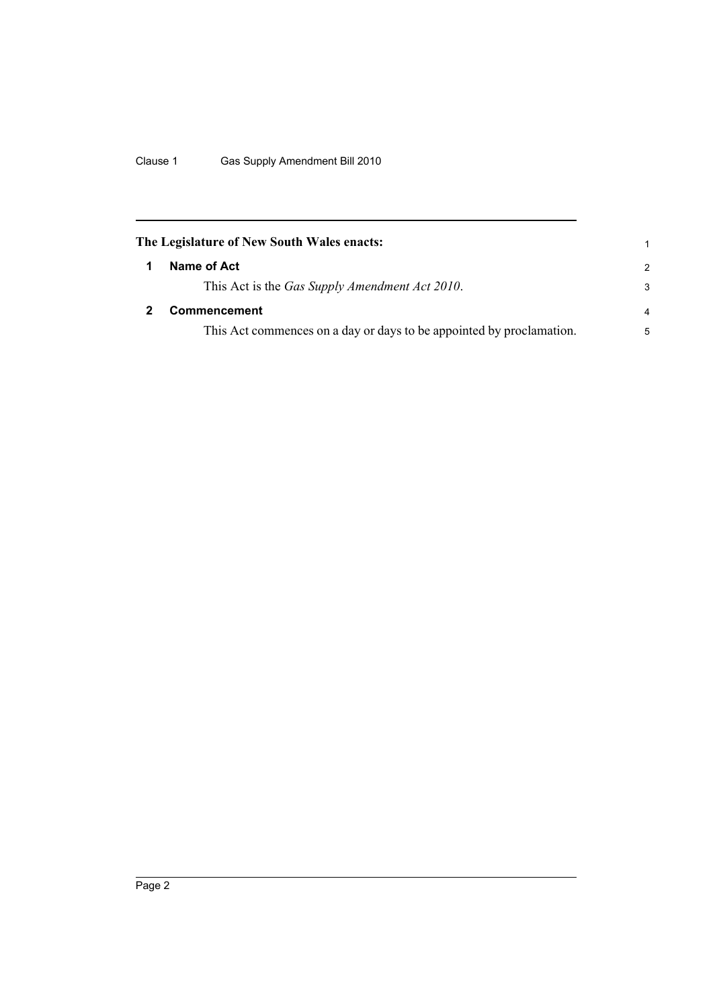<span id="page-3-1"></span><span id="page-3-0"></span>

| The Legislature of New South Wales enacts:                           | 1             |
|----------------------------------------------------------------------|---------------|
| Name of Act                                                          | $\mathcal{P}$ |
| This Act is the Gas Supply Amendment Act 2010.                       | 3             |
| Commencement                                                         | 4             |
| This Act commences on a day or days to be appointed by proclamation. | 5             |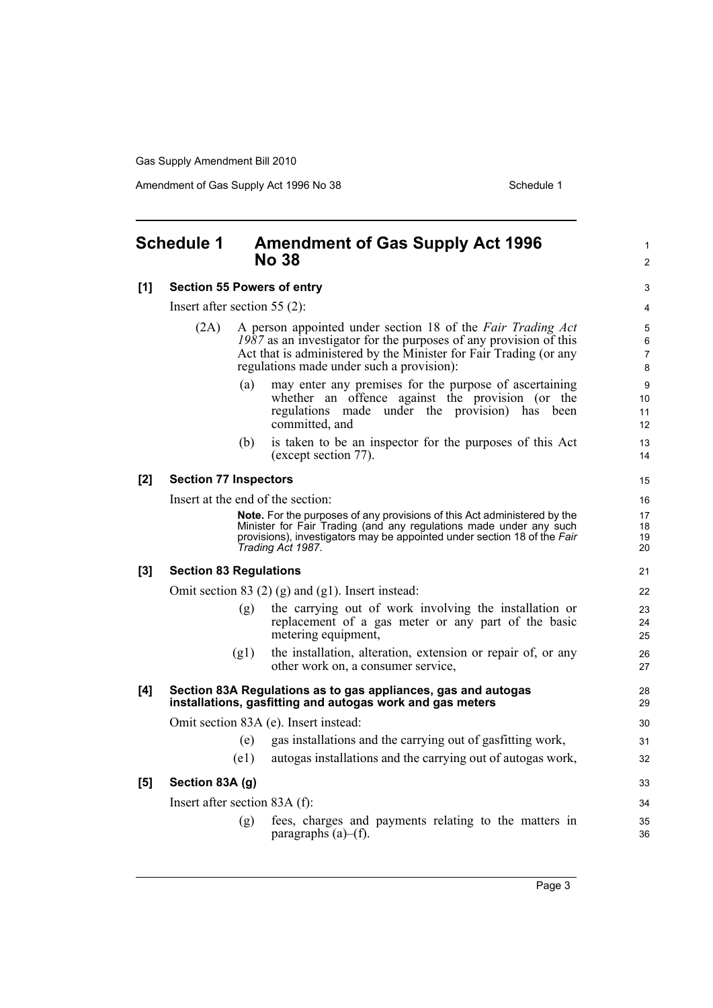Gas Supply Amendment Bill 2010

Amendment of Gas Supply Act 1996 No 38 Schedule 1

### <span id="page-4-0"></span>**Schedule 1 Amendment of Gas Supply Act 1996 No 38 [1] Section 55 Powers of entry** Insert after section 55 (2): (2A) A person appointed under section 18 of the *Fair Trading Act 1987* as an investigator for the purposes of any provision of this Act that is administered by the Minister for Fair Trading (or any regulations made under such a provision): (a) may enter any premises for the purpose of ascertaining whether an offence against the provision (or the regulations made under the provision) has been committed, and (b) is taken to be an inspector for the purposes of this Act (except section 77). **[2] Section 77 Inspectors** Insert at the end of the section: **Note.** For the purposes of any provisions of this Act administered by the Minister for Fair Trading (and any regulations made under any such provisions), investigators may be appointed under section 18 of the *Fair Trading Act 1987*. **[3] Section 83 Regulations** Omit section 83 (2) (g) and (g1). Insert instead: (g) the carrying out of work involving the installation or replacement of a gas meter or any part of the basic metering equipment, (g1) the installation, alteration, extension or repair of, or any other work on, a consumer service, **[4] Section 83A Regulations as to gas appliances, gas and autogas installations, gasfitting and autogas work and gas meters** Omit section 83A (e). Insert instead: (e) gas installations and the carrying out of gasfitting work, (e1) autogas installations and the carrying out of autogas work, **[5] Section 83A (g)** Insert after section 83A (f): (g) fees, charges and payments relating to the matters in paragraphs  $(a)$ – $(f)$ . 1  $\mathfrak{p}$  $\overline{a}$ 4 5 6 7 8  $\alpha$ 10 11 12 13 14 15 16 17 18 19  $20$ 21 22 23 24 25 26 27 28 29 30 31 32 33 34 35 36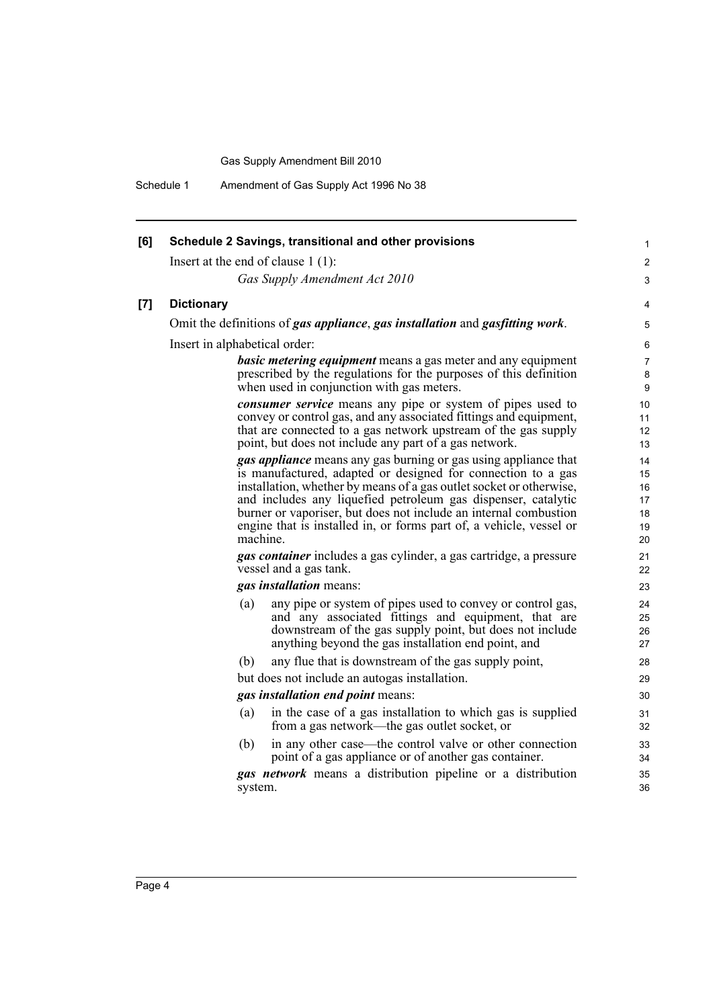Gas Supply Amendment Bill 2010

Schedule 1 Amendment of Gas Supply Act 1996 No 38

| [6] | Schedule 2 Savings, transitional and other provisions                                                                                                                                                                                                                                                                                                                                                                                 | 1                                      |
|-----|---------------------------------------------------------------------------------------------------------------------------------------------------------------------------------------------------------------------------------------------------------------------------------------------------------------------------------------------------------------------------------------------------------------------------------------|----------------------------------------|
|     | Insert at the end of clause $1(1)$ :                                                                                                                                                                                                                                                                                                                                                                                                  | 2                                      |
|     | Gas Supply Amendment Act 2010                                                                                                                                                                                                                                                                                                                                                                                                         | 3                                      |
| [7] | <b>Dictionary</b>                                                                                                                                                                                                                                                                                                                                                                                                                     | 4                                      |
|     | Omit the definitions of gas appliance, gas installation and gasfitting work.                                                                                                                                                                                                                                                                                                                                                          | 5                                      |
|     | Insert in alphabetical order:                                                                                                                                                                                                                                                                                                                                                                                                         | 6                                      |
|     | <b>basic metering equipment</b> means a gas meter and any equipment<br>prescribed by the regulations for the purposes of this definition<br>when used in conjunction with gas meters.                                                                                                                                                                                                                                                 | 7<br>8<br>9                            |
|     | <b><i>consumer service</i></b> means any pipe or system of pipes used to<br>convey or control gas, and any associated fittings and equipment,<br>that are connected to a gas network upstream of the gas supply<br>point, but does not include any part of a gas network.                                                                                                                                                             | 10<br>11<br>12<br>13                   |
|     | <b>gas appliance</b> means any gas burning or gas using appliance that<br>is manufactured, adapted or designed for connection to a gas<br>installation, whether by means of a gas outlet socket or otherwise,<br>and includes any liquefied petroleum gas dispenser, catalytic<br>burner or vaporiser, but does not include an internal combustion<br>engine that is installed in, or forms part of, a vehicle, vessel or<br>machine. | 14<br>15<br>16<br>17<br>18<br>19<br>20 |
|     | <b>gas container</b> includes a gas cylinder, a gas cartridge, a pressure<br>vessel and a gas tank.                                                                                                                                                                                                                                                                                                                                   | 21<br>22                               |
|     | gas installation means:                                                                                                                                                                                                                                                                                                                                                                                                               | 23                                     |
|     | any pipe or system of pipes used to convey or control gas,<br>(a)<br>and any associated fittings and equipment, that are<br>downstream of the gas supply point, but does not include<br>anything beyond the gas installation end point, and                                                                                                                                                                                           | 24<br>25<br>26<br>27                   |
|     | (b)<br>any flue that is downstream of the gas supply point,                                                                                                                                                                                                                                                                                                                                                                           | 28                                     |
|     | but does not include an autogas installation.                                                                                                                                                                                                                                                                                                                                                                                         | 29                                     |
|     | gas installation end point means:                                                                                                                                                                                                                                                                                                                                                                                                     | 30                                     |
|     | in the case of a gas installation to which gas is supplied<br>(a)<br>from a gas network-the gas outlet socket, or                                                                                                                                                                                                                                                                                                                     | 31<br>32                               |
|     | (b)<br>in any other case—the control valve or other connection<br>point of a gas appliance or of another gas container.                                                                                                                                                                                                                                                                                                               | 33<br>34                               |
|     | <b>gas network</b> means a distribution pipeline or a distribution<br>system.                                                                                                                                                                                                                                                                                                                                                         | 35<br>36                               |